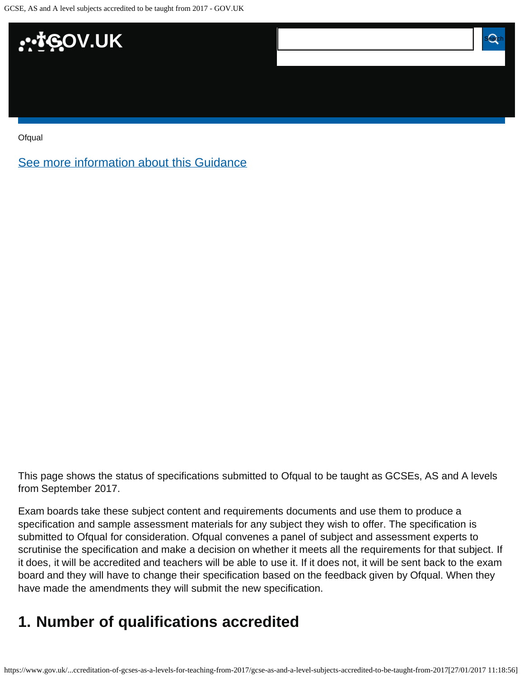

**[Ofqual](https://www.gov.uk/government/organisations/ofqual)** 

[See more information about this Guidance](https://www.gov.uk/government/publications/accreditation-of-gcses-as-a-levels-for-teaching-from-2017)

This page shows the status of specifications submitted to Ofqual to be taught as GCSEs, AS and A levels from September 2017.

Exam boards take these subject content and requirements documents and use them to produce a specification and sample assessment materials for any subject they wish to offer. The specification is submitted to Ofqual for consideration. Ofqual convenes a panel of subject and assessment experts to scrutinise the specification and make a decision on whether it meets all the requirements for that subject. If it does, it will be accredited and teachers will be able to use it. If it does not, it will be sent back to the exam board and they will have to change their specification based on the feedback given by Ofqual. When they have made the amendments they will submit the new specification.

### <span id="page-0-0"></span>**1. Number of qualifications accredited**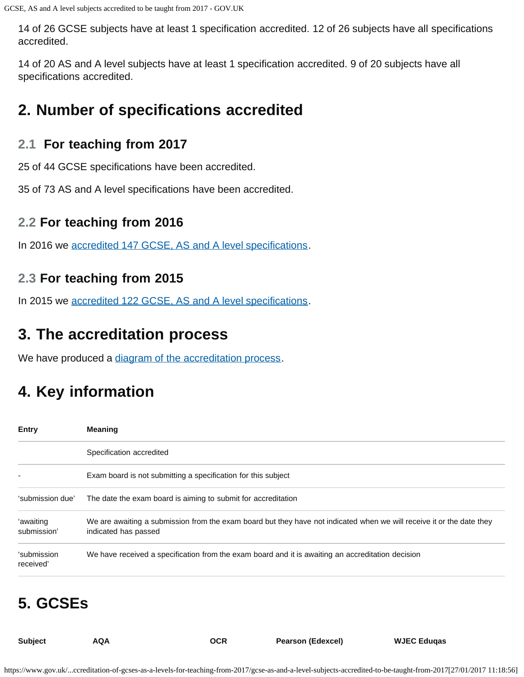14 of 26 GCSE subjects have at least 1 specification accredited. 12 of 26 subjects have all specifications accredited.

14 of 20 AS and A level subjects have at least 1 specification accredited. 9 of 20 subjects have all specifications accredited.

### <span id="page-1-0"></span>**2. Number of specifications accredited**

#### **2.1 For teaching from 2017**

25 of 44 GCSE specifications have been accredited.

35 of 73 AS and A level specifications have been accredited.

#### **2.2 For teaching from 2016**

In 2016 we [accredited 147 GCSE, AS and A level specifications.](https://www.gov.uk/government/publications/accreditation-of-gcses-as-a-levels-for-teaching-from-2016)

#### **2.3 For teaching from 2015**

In 2015 we [accredited 122 GCSE, AS and A level specifications.](https://www.gov.uk/government/publications/new-gcses-as-and-a-levels-accredited-to-be-taught-from-2015)

## <span id="page-1-1"></span>**3. The accreditation process**

We have produced a [diagram of the accreditation process.](https://www.gov.uk/government/publications/your-qualification-our-regulation-gcse-as-and-a-level-reforms#attachment_1634078)

## <span id="page-1-2"></span>**4. Key information**

| <b>Entry</b>             | <b>Meaning</b>                                                                                                                                |
|--------------------------|-----------------------------------------------------------------------------------------------------------------------------------------------|
|                          | Specification accredited                                                                                                                      |
|                          | Exam board is not submitting a specification for this subject                                                                                 |
| 'submission due'         | The date the exam board is aiming to submit for accreditation                                                                                 |
| 'awaiting<br>submission' | We are awaiting a submission from the exam board but they have not indicated when we will receive it or the date they<br>indicated has passed |
| 'submission<br>received' | We have received a specification from the exam board and it is awaiting an accreditation decision                                             |

# <span id="page-1-3"></span>**5. GCSEs**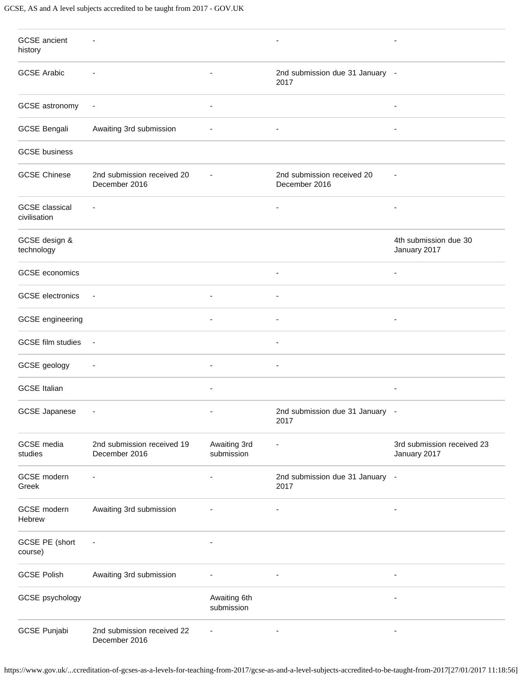| <b>GCSE</b> ancient<br>history        | $\overline{\phantom{a}}$                    |                            |                                             |                                            |
|---------------------------------------|---------------------------------------------|----------------------------|---------------------------------------------|--------------------------------------------|
| <b>GCSE Arabic</b>                    |                                             |                            | 2nd submission due 31 January -<br>2017     |                                            |
| GCSE astronomy                        | $\overline{\phantom{a}}$                    |                            |                                             |                                            |
| <b>GCSE Bengali</b>                   | Awaiting 3rd submission                     | ٠                          | $\overline{\phantom{a}}$                    | $\overline{\phantom{a}}$                   |
| <b>GCSE</b> business                  |                                             |                            |                                             |                                            |
| <b>GCSE Chinese</b>                   | 2nd submission received 20<br>December 2016 |                            | 2nd submission received 20<br>December 2016 | $\overline{a}$                             |
| <b>GCSE</b> classical<br>civilisation |                                             |                            |                                             |                                            |
| GCSE design &<br>technology           |                                             |                            |                                             | 4th submission due 30<br>January 2017      |
| GCSE economics                        |                                             |                            | ÷,                                          | $\blacksquare$                             |
| <b>GCSE</b> electronics               |                                             |                            |                                             |                                            |
| GCSE engineering                      |                                             |                            |                                             |                                            |
| <b>GCSE</b> film studies              |                                             |                            |                                             |                                            |
| GCSE geology                          | $\overline{\phantom{a}}$                    | $\overline{\phantom{a}}$   | ٠                                           |                                            |
| <b>GCSE Italian</b>                   |                                             |                            |                                             |                                            |
| <b>GCSE Japanese</b>                  | $\overline{\phantom{a}}$                    |                            | 2nd submission due 31 January -<br>2017     |                                            |
| GCSE media<br>studies                 | 2nd submission received 19<br>December 2016 | Awaiting 3rd<br>submission |                                             | 3rd submission received 23<br>January 2017 |
| GCSE modern<br>Greek                  | $\overline{\phantom{a}}$                    | $\blacksquare$             | 2nd submission due 31 January -<br>2017     |                                            |
| GCSE modern<br>Hebrew                 | Awaiting 3rd submission                     |                            |                                             |                                            |
| GCSE PE (short<br>course)             |                                             |                            |                                             |                                            |
| <b>GCSE Polish</b>                    | Awaiting 3rd submission                     |                            | $\overline{\phantom{a}}$                    | $\overline{\phantom{a}}$                   |
| GCSE psychology                       |                                             | Awaiting 6th<br>submission |                                             |                                            |
| <b>GCSE Punjabi</b>                   | 2nd submission received 22<br>December 2016 |                            |                                             |                                            |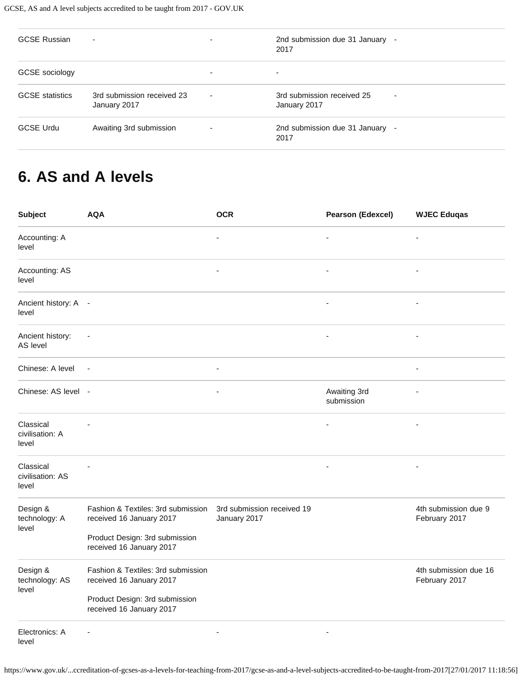| <b>GCSE Russian</b>    | ۰                                          |   | 2nd submission due 31 January -<br>2017         |
|------------------------|--------------------------------------------|---|-------------------------------------------------|
| GCSE sociology         |                                            |   | -                                               |
| <b>GCSE</b> statistics | 3rd submission received 23<br>January 2017 | - | 3rd submission received 25<br>۰<br>January 2017 |
| <b>GCSE Urdu</b>       | Awaiting 3rd submission                    |   | 2nd submission due 31 January -<br>2017         |

## <span id="page-3-0"></span>**6. AS and A levels**

| <b>Subject</b>                         | <b>AQA</b>                                                                                                                   | <b>OCR</b>                                 | <b>Pearson (Edexcel)</b>   | <b>WJEC Eduqas</b>                     |
|----------------------------------------|------------------------------------------------------------------------------------------------------------------------------|--------------------------------------------|----------------------------|----------------------------------------|
| Accounting: A<br>level                 |                                                                                                                              |                                            | $\blacksquare$             | $\blacksquare$                         |
| Accounting: AS<br>level                |                                                                                                                              |                                            |                            |                                        |
| Ancient history: A -<br>level          |                                                                                                                              |                                            | $\blacksquare$             | ä,                                     |
| Ancient history:<br>AS level           |                                                                                                                              |                                            |                            | ٠                                      |
| Chinese: A level                       | $\overline{\phantom{a}}$                                                                                                     |                                            |                            |                                        |
| Chinese: AS level -                    |                                                                                                                              |                                            | Awaiting 3rd<br>submission |                                        |
| Classical<br>civilisation: A<br>level  |                                                                                                                              |                                            |                            |                                        |
| Classical<br>civilisation: AS<br>level |                                                                                                                              |                                            |                            | $\overline{\phantom{0}}$               |
| Design &<br>technology: A<br>level     | Fashion & Textiles: 3rd submission<br>received 16 January 2017<br>Product Design: 3rd submission<br>received 16 January 2017 | 3rd submission received 19<br>January 2017 |                            | 4th submission due 9<br>February 2017  |
| Design &<br>technology: AS<br>level    | Fashion & Textiles: 3rd submission<br>received 16 January 2017                                                               |                                            |                            | 4th submission due 16<br>February 2017 |
|                                        | Product Design: 3rd submission<br>received 16 January 2017                                                                   |                                            |                            |                                        |
| Electronics: A<br>level                |                                                                                                                              | $\blacksquare$                             | $\blacksquare$             |                                        |

https://www.gov.uk/...ccreditation-of-gcses-as-a-levels-for-teaching-from-2017/gcse-as-and-a-level-subjects-accredited-to-be-taught-from-2017[27/01/2017 11:18:56]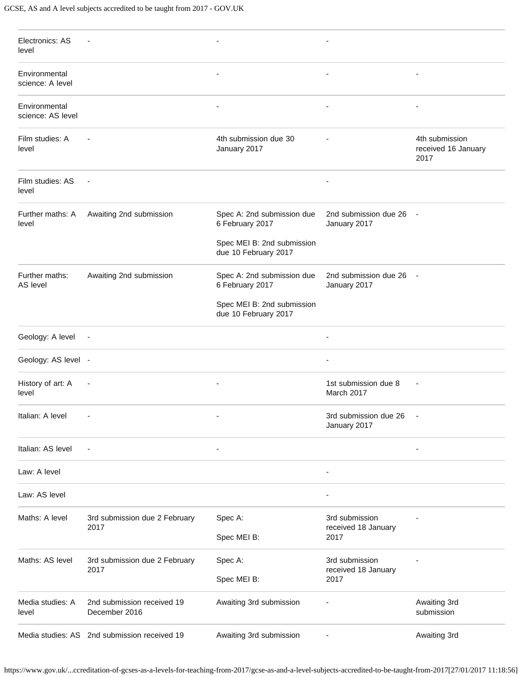| Electronics: AS<br>level           |                                              |                                                    |                                         |                                               |
|------------------------------------|----------------------------------------------|----------------------------------------------------|-----------------------------------------|-----------------------------------------------|
| Environmental<br>science: A level  |                                              | $\overline{a}$                                     | $\overline{\phantom{a}}$                | $\overline{\phantom{a}}$                      |
| Environmental<br>science: AS level |                                              | $\overline{a}$                                     | $\overline{\phantom{a}}$                |                                               |
| Film studies: A<br>level           |                                              | 4th submission due 30<br>January 2017              |                                         | 4th submission<br>received 16 January<br>2017 |
| Film studies: AS<br>level          | $\overline{\phantom{a}}$                     |                                                    | $\overline{\phantom{a}}$                |                                               |
| Further maths: A<br>level          | Awaiting 2nd submission                      | Spec A: 2nd submission due<br>6 February 2017      | 2nd submission due 26<br>January 2017   | $\sim$                                        |
|                                    |                                              | Spec MEI B: 2nd submission<br>due 10 February 2017 |                                         |                                               |
| Further maths:<br>AS level         | Awaiting 2nd submission                      | Spec A: 2nd submission due<br>6 February 2017      | 2nd submission due 26 -<br>January 2017 |                                               |
|                                    |                                              | Spec MEI B: 2nd submission<br>due 10 February 2017 |                                         |                                               |
| Geology: A level                   | $\overline{\phantom{a}}$                     |                                                    | $\overline{\phantom{a}}$                |                                               |
| Geology: AS level -                |                                              |                                                    | $\overline{\phantom{a}}$                |                                               |
| History of art: A<br>level         | $\overline{\phantom{a}}$                     | $\overline{\phantom{a}}$                           | 1st submission due 8<br>March 2017      |                                               |
| Italian: A level                   |                                              |                                                    | 3rd submission due 26<br>January 2017   |                                               |
| Italian: AS level                  | $\overline{\phantom{a}}$                     | $\overline{a}$                                     |                                         | ÷,                                            |
| Law: A level                       |                                              |                                                    |                                         |                                               |
| Law: AS level                      |                                              |                                                    |                                         |                                               |
| Maths: A level                     | 3rd submission due 2 February                | Spec A:                                            | 3rd submission                          |                                               |
|                                    | 2017                                         | Spec MEI B:                                        | received 18 January<br>2017             |                                               |
| Maths: AS level                    | 3rd submission due 2 February<br>2017        | Spec A:                                            | 3rd submission<br>received 18 January   |                                               |
|                                    |                                              | Spec MEI B:                                        | 2017                                    |                                               |
| Media studies: A<br>level          | 2nd submission received 19<br>December 2016  | Awaiting 3rd submission                            |                                         | Awaiting 3rd<br>submission                    |
|                                    | Media studies: AS 2nd submission received 19 | Awaiting 3rd submission                            |                                         | Awaiting 3rd                                  |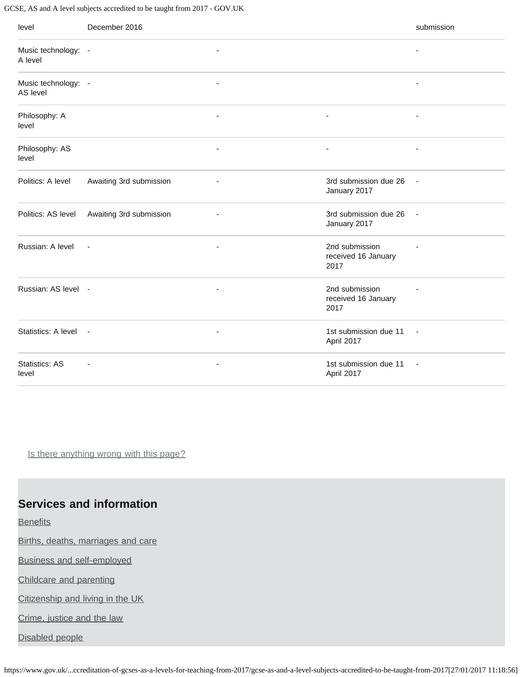#### GCSE, AS and A level subjects accredited to be taught from 2017 - GOV.UK

| level                           | December 2016           |                          |                                               | submission               |
|---------------------------------|-------------------------|--------------------------|-----------------------------------------------|--------------------------|
| Music technology: -<br>A level  |                         | $\overline{\phantom{a}}$ |                                               | ÷,                       |
| Music technology: -<br>AS level |                         | $\overline{\phantom{a}}$ |                                               | ÷,                       |
| Philosophy: A<br>level          |                         | ٠                        | $\overline{\phantom{m}}$                      | $\overline{\phantom{a}}$ |
| Philosophy: AS<br>level         |                         | $\overline{\phantom{a}}$ | $\overline{\phantom{a}}$                      | $\overline{\phantom{a}}$ |
| Politics: A level               | Awaiting 3rd submission |                          | 3rd submission due 26<br>January 2017         | $\blacksquare$           |
| Politics: AS level              | Awaiting 3rd submission | $\blacksquare$           | 3rd submission due 26<br>January 2017         | $\sim$                   |
| Russian: A level                | $\blacksquare$          | $\overline{\phantom{a}}$ | 2nd submission<br>received 16 January<br>2017 |                          |
| Russian: AS level -             |                         | $\blacksquare$           | 2nd submission<br>received 16 January<br>2017 |                          |
| Statistics: A level -           |                         | $\overline{\phantom{a}}$ | 1st submission due 11<br>April 2017           | $\overline{\phantom{a}}$ |
| <b>Statistics: AS</b><br>level  | ÷,                      | $\overline{\phantom{a}}$ | 1st submission due 11<br>April 2017           | $\overline{\phantom{a}}$ |

Is there anything wrong with this page?

#### **Services and information**

**[Benefits](https://www.gov.uk/browse/benefits)** 

[Births, deaths, marriages and care](https://www.gov.uk/browse/births-deaths-marriages)

[Business and self-employed](https://www.gov.uk/browse/business)

[Childcare and parenting](https://www.gov.uk/browse/childcare-parenting)

[Citizenship and living in the UK](https://www.gov.uk/browse/citizenship)

[Crime, justice and the law](https://www.gov.uk/browse/justice)

[Disabled people](https://www.gov.uk/browse/disabilities)

https://www.gov.uk/...ccreditation-of-gcses-as-a-levels-for-teaching-from-2017/gcse-as-and-a-level-subjects-accredited-to-be-taught-from-2017[27/01/2017 11:18:56]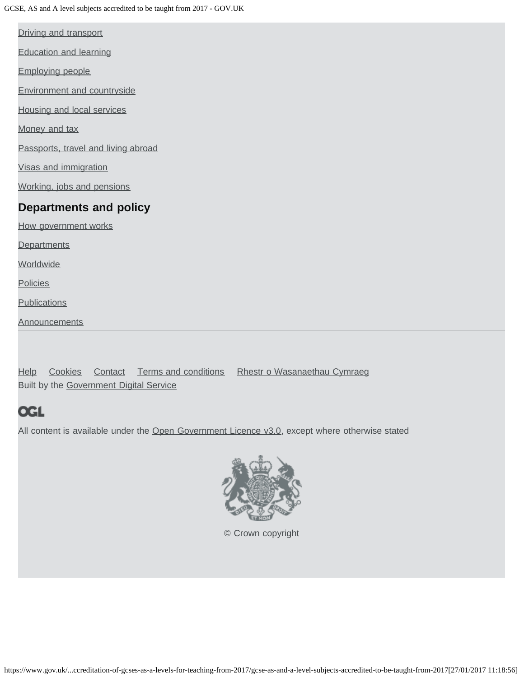[Driving and transport](https://www.gov.uk/browse/driving)

[Education and learning](https://www.gov.uk/browse/education)

[Employing people](https://www.gov.uk/browse/employing-people)

[Environment and countryside](https://www.gov.uk/browse/environment-countryside)

[Housing and local services](https://www.gov.uk/browse/housing-local-services)

[Money and tax](https://www.gov.uk/browse/tax)

[Passports, travel and living abroad](https://www.gov.uk/browse/abroad)

[Visas and immigration](https://www.gov.uk/browse/visas-immigration)

[Working, jobs and pensions](https://www.gov.uk/browse/working)

#### **Departments and policy**

[How government works](https://www.gov.uk/government/how-government-works)

**[Departments](https://www.gov.uk/government/organisations)** 

**[Worldwide](https://www.gov.uk/government/world)** 

**[Policies](https://www.gov.uk/government/policies)** 

**[Publications](https://www.gov.uk/government/publications)** 

**[Announcements](https://www.gov.uk/government/announcements)** 

[Help](https://www.gov.uk/help) [Cookies](https://www.gov.uk/help/cookies) [Contact](https://www.gov.uk/contact) [Terms and conditions](https://www.gov.uk/help/terms-conditions) [Rhestr o Wasanaethau Cymraeg](https://www.gov.uk/cymraeg) Built by the [Government Digital Service](https://www.gov.uk/government/organisations/government-digital-service)

### **OGL**

All content is available under the [Open Government Licence v3.0,](https://www.nationalarchives.gov.uk/doc/open-government-licence/version/3/) except where otherwise stated



[© Crown copyright](http://www.nationalarchives.gov.uk/information-management/re-using-public-sector-information/copyright-and-re-use/crown-copyright/)